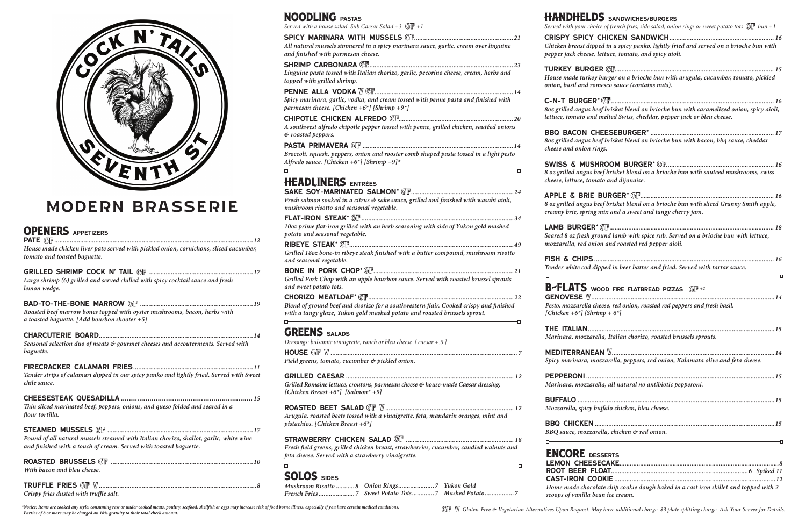*Dressings: balsamic vinaigrette, ranch or bleu cheese [ caesar +.5 ]* House *............................................................................................................. 7*

*Field greens, tomato, cucumber & pickled onion.*

#### Grilled Caesar *.................................................................................................. 12 Grilled Romaine lettuce, croutons, parmesan cheese & house-made Caesar dressing.*

*[Chicken Breast +6\*] [Salmon\* +9]*

## Roasted Beet Salad *........................................................................... 12*

*Arugula, roasted beets tossed with a vinaigrette, feta, mandarin oranges, mint and pistachios. [Chicken Breast +6\*]*

### Strawberry Chicken Salad *............................................................... 18*

*Fresh field greens, grilled chicken breast, strawberries, cucumber, candied walnuts and feta cheese. Served with a strawberry vinaigrette.*

## SOLOS SIDES

Sake Soy-Marinated Salmon\* *............................................................24*

*\*Notice: Items are cooked any style; consuming raw or under cooked meats, poultry, seafood, shellfish or eggs may increase risk of food borne illness, especially if you have certain medical conditions.* \*Notice: Items are cooked any style; consuming raw or under cooked meats, poultry, seafood, shellfish or eggs may increase risk of food borne illness, especially if you have certain medical conditions.

# HANDHELI

Served with your che

#### CRISPY SPICY *Chicken breast dit pepper jack cheese*

 $TURKEY$  *BURG House made turke onion, basil and re* 

| Fresh salmon soaked in a citrus $\mathfrak{G}$ sake sauce, grilled and finished with wasabi aioli, |
|----------------------------------------------------------------------------------------------------|
| mushroom risotto and seasonal vegetable.                                                           |
|                                                                                                    |

*10oz prime flat-iron grilled with an herb seasoning with side of Yukon gold mashed potato and seasonal vegetable.* 

RibEye Steak\* *................................................................................................49 Grilled 18oz bone-in ribeye steak finished with a butter compound, mushroom risotto and seasonal vegetable.*  Bone In Pork Chop\* *..................................................................................21*

buffalo *...................................................................................................................15*  $Mozzarella, spicy$ 

BBQ CHICKEN *BBQ sauce, mozza*  $\overline{a}$ 

#### ENCORE DI LEMON CHEE<sup>.</sup> ROOT BEER F CAST-IRON CO *Home made choc scoops of vanilla*

*Grilled Pork Chop with an apple bourbon sauce. Served with roasted brussel sprouts and sweet potato tots.*

### Chorizo Meatloaf\* *.....................................................................................22*

*Blend of ground beef and chorizo for a southwestern flair. Cooked crispy and finished with a tangy glaze, Yukon gold mashed potato and roasted brussels sprout.*

### **GREENS** SALADS

*Mushroom Risotto ...........8 Onion Rings.....................7 Yukon Gold French Fries.....................7 Sweet Potato Tots.............7 Mashed Potato.................7*

**B-FLATS GENOVESE**  $W$ 

*Pesto, mozzarella [Chicken + 6\*] [Shrigh* 

 $\overline{a}$ 

THE ITALIAN... *Marinara, mozzar* 

**MEDITERRANE** *Spicy marinara, n* 

PEPPERONI .... *Marinara, mozzar* 

C-n-T Burger\* *............................................................................................... 16*  $8$ oz grilled angus *lettuce, tomato an* 

BBO BACON O  $8$ oz grilled angus *cheese and onion* 

**SWISS & MUS** *8 oz grilled angus beef brisket blend on a brioche bun with sauteed mushrooms, swiss cheese, lettuce, torally* 

**APPLE & BRIE**  $8$  oz grilled angus *creamy brie, spring* 

 $\sf{LAMB}$  BURGEF *Seared 8 oz fresh g mozzarella, red on* 

| <b>DS</b> sandwiches/burgers<br>oice of french fries, side salad, onion rings or sweet potato tots $\mathbb{G} \mathbb{F}$ bun +1                                                   |
|-------------------------------------------------------------------------------------------------------------------------------------------------------------------------------------|
| pped in a spicy panko, lightly fried and served on a brioche bun with<br>designery, lettuce, tomato, and spicy aioli.                                                               |
| y burger on a brioche bun with arugula, cucumber, tomato, pickled<br>omesco sauce (contains nuts).                                                                                  |
| beef brisket blend on brioche bun with caramelized onion, spicy aioli,<br>d melted Swiss, cheddar, pepper jack or bleu cheese.                                                      |
| beef brisket blend on brioche bun with bacon, bbq sauce, cheddar<br>rings.                                                                                                          |
| beef brisket blend on a brioche bun with sauteed mushrooms, swiss<br>nato and dijonaise.                                                                                            |
| beef brisket blend on a brioche bun with sliced Granny Smith apple,<br>g mix and a sweet and tangy cherry jam.                                                                      |
| ground lamb with spice rub. Served on a brioche bun with lettuce,<br>iion and roasted red pepper aioli.                                                                             |
| dipped in beer batter and fried. Served with tartar sauce.<br><u> a serie de la construcción de la construcción de la construcción de la construcción de la construcción de la </u> |
| WOOD FIRE FLATBREAD PIZZAS $\bigcirc \mathbb{F}$ +2                                                                                                                                 |
| cheese, red onion, roasted red peppers and fresh basil.<br>$rimp + 6^*$                                                                                                             |
| rella, Italian chorizo, roasted brussels sprouts.                                                                                                                                   |
| nozzarella, peppers, red onion, Kalamata olive and feta cheese.                                                                                                                     |
| rella, all natural no antibiotic pepperoni.                                                                                                                                         |
| buffalo chicken, bleu cheese.                                                                                                                                                       |
| arella, chicken & red onion.<br><u> 1980 - John Barn Barn, mars a</u><br>Ð                                                                                                          |
|                                                                                                                                                                                     |
| <b>ESSERTS</b>                                                                                                                                                                      |
| olate chip cookie dough baked in a cast iron skillet and topped with 2<br>bean ice cream.                                                                                           |

NOODLING pastas

*Served with a house salad. Sub Caesar Salad +3*  $\mathbb{G}F +1$ 

### Spicy Marinara with Mussels *..........................................................21*

*All natural mussels simmered in a spicy marinara sauce, garlic, cream over linguine and finished with parmesan cheese.* Shrimp Carbonara *.....................................................................................23*

*Linguine pasta tossed with Italian chorizo, garlic, pecorino cheese, cream, herbs and topped with grilled shrimp.*

### Penne alla Vodka *.................................................................................14*

*Spicy marinara, garlic, vodka, and cream tossed with penne pasta and finished with parmesan cheese. [Chicken +6\*] [Shrimp +9\*]* Chipotle Chicken Alfredo *...................................................................20*

*A southwest alfredo chipotle pepper tossed with penne, grilled chicken, sautéed onions & roasted peppers.* Pasta Primavera *........................................................................................14*

 $-$ 

*Broccoli, squash, peppers, onion and rooster comb shaped pasta tossed in a light pesto Alfredo sauce. [Chicken +6\*] [Shrimp +9]\**

## **HEADLINERS** ENTRÉES

Fish & Chips*......................................................................................................... 16 Tender white cod dipped in beer batter and fried. Served with tartar sauce.*

| House made chicken liver pate served with pickled onion, cornichons, sliced cucumber,<br>tomato and toasted baguette.                                       |
|-------------------------------------------------------------------------------------------------------------------------------------------------------------|
| Large shrimp (6) grilled and served chilled with spicy cocktail sauce and fresh<br>lemon wedge.                                                             |
| Roasted beef marrow bones topped with oyster mushrooms, bacon, herbs with<br>a toasted baguette. [Add bourbon shooter $+5$ ]                                |
| Seasonal selection duo of meats & gourmet cheeses and accouterments. Served with<br>baguette.                                                               |
| Tender strips of calamari dipped in our spicy panko and lightly fried. Served with Sweet<br>chile sauce.                                                    |
| Thin sliced marinated beef, peppers, onions, and queso folded and seared in a<br>flour tortilla.                                                            |
| Pound of all natural mussels steamed with Italian chorizo, shallot, garlic, white wine<br>and finished with a touch of cream. Served with toasted baguette. |
| With bacon and bleu cheese.                                                                                                                                 |
|                                                                                                                                                             |

*Crispy fries dusted with truffle salt.*



# modern brasserie

## **OPENERS** APPETIZERS